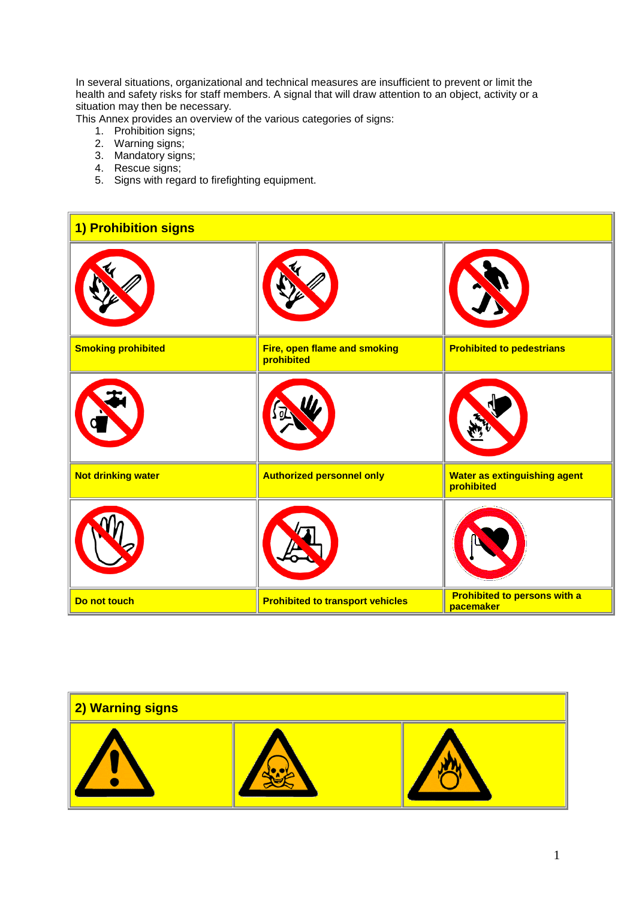In several situations, organizational and technical measures are insufficient to prevent or limit the health and safety risks for staff members. A signal that will draw attention to an object, activity or a situation may then be necessary.

This Annex provides an overview of the various categories of signs:

- 1. Prohibition signs;
- 2. Warning signs;
- 3. Mandatory signs;
- 4. Rescue signs;
- 5. Signs with regard to firefighting equipment.



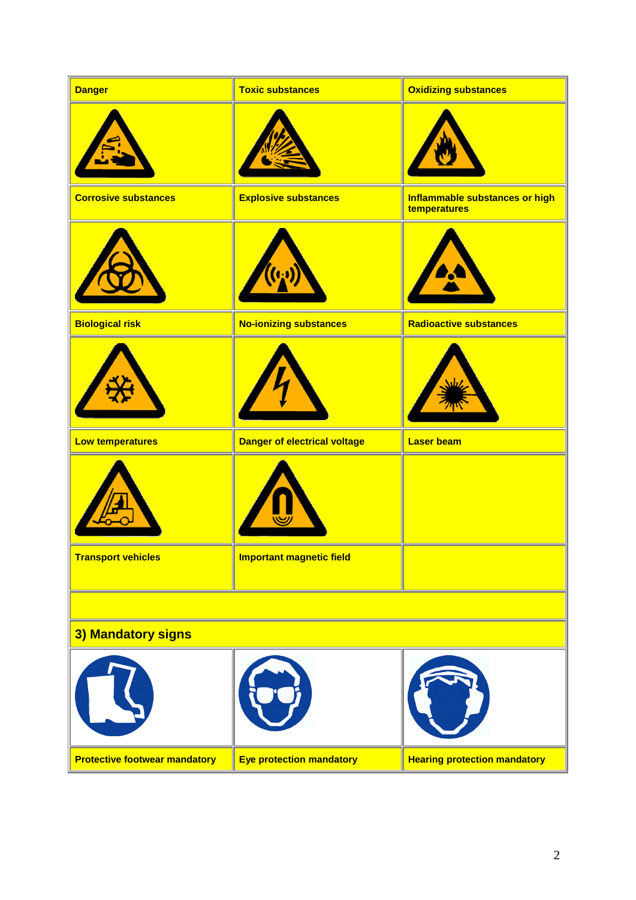| <b>Danger</b>                        | <b>Toxic substances</b>             | <b>Oxidizing substances</b>                    |  |  |
|--------------------------------------|-------------------------------------|------------------------------------------------|--|--|
|                                      |                                     |                                                |  |  |
| <b>Corrosive substances</b>          | <b>Explosive substances</b>         | Inflammable substances or high<br>temperatures |  |  |
|                                      |                                     |                                                |  |  |
| <b>Biological risk</b>               | <b>No-ionizing substances</b>       | <b>Radioactive substances</b>                  |  |  |
|                                      |                                     |                                                |  |  |
| <b>Low temperatures</b>              | <b>Danger of electrical voltage</b> | <b>Laser beam</b>                              |  |  |
|                                      |                                     |                                                |  |  |
| <b>Transport vehicles</b>            | <b>Important magnetic field</b>     |                                                |  |  |
|                                      |                                     |                                                |  |  |
| 3) Mandatory signs                   |                                     |                                                |  |  |
|                                      |                                     |                                                |  |  |
| <b>Protective footwear mandatory</b> | <b>Eye protection mandatory</b>     | <b>Hearing protection mandatory</b>            |  |  |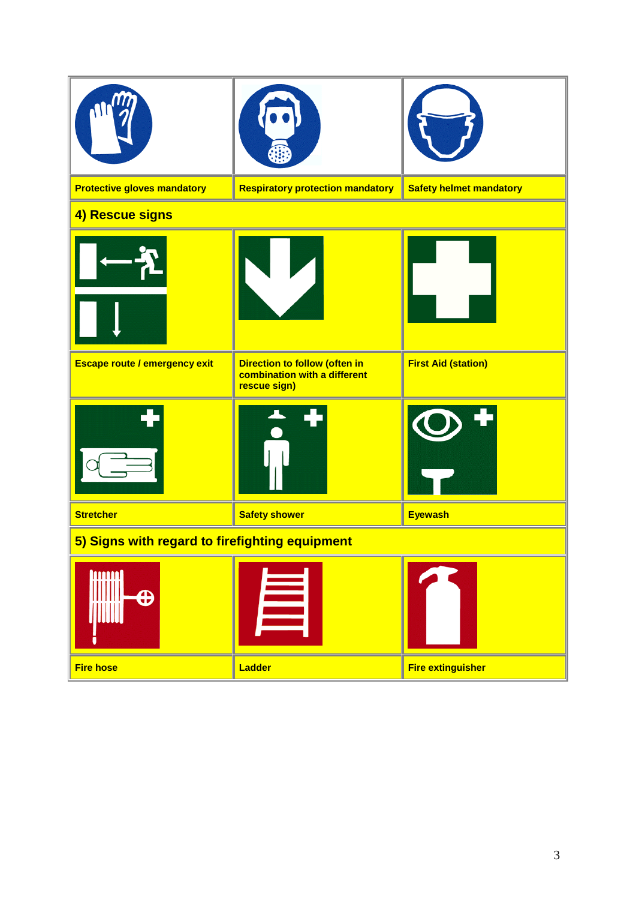| <b>Protective gloves mandatory</b>             | <b>Respiratory protection mandatory</b>                                       | <b>Safety helmet mandatory</b> |  |
|------------------------------------------------|-------------------------------------------------------------------------------|--------------------------------|--|
| 4) Rescue signs                                |                                                                               |                                |  |
|                                                |                                                                               |                                |  |
| Escape route / emergency exit                  | Direction to follow (often in<br>combination with a different<br>rescue sign) | <b>First Aid (station)</b>     |  |
|                                                |                                                                               |                                |  |
| <b>Stretcher</b>                               | <b>Safety shower</b>                                                          | <b>Eyewash</b>                 |  |
| 5) Signs with regard to firefighting equipment |                                                                               |                                |  |
| <b>ANNA</b>                                    |                                                                               |                                |  |
| <b>Fire hose</b>                               | Ladder                                                                        | <b>Fire extinguisher</b>       |  |